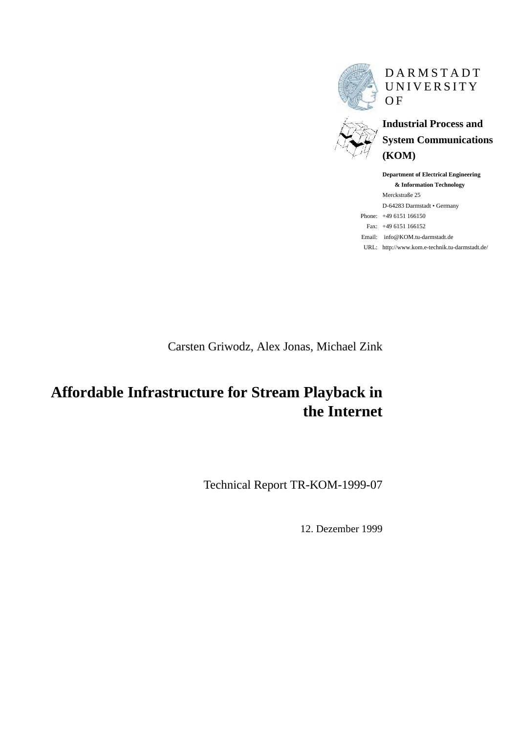

DARMSTADT UNIVERSITY **OF** 

**Industrial Process and System Communications (KOM)**

**Department of Electrical Engineering & Information Technology** Merckstraße 25 D-64283 Darmstadt • Germany Phone: +49 6151 166150 Fax: +49 6151 166152 Email: info@KOM.tu-darmstadt.de URL: http://www.kom.e-technik.tu-darmstadt.de/

Carsten Griwodz, Alex Jonas, Michael Zink

# **Affordable Infrastructure for Stream Playback in the Internet**

Technical Report TR-KOM-1999-07

12. Dezember 1999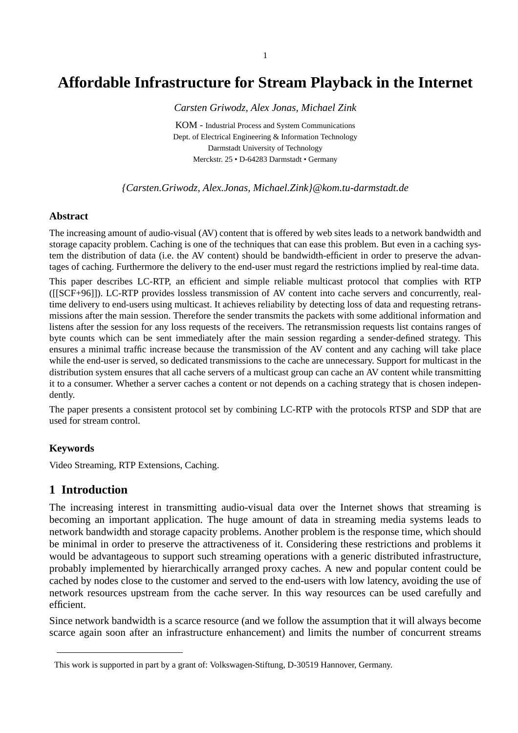# **Affordable Infrastructure for Stream Playback in the Internet**

*Carsten Griwodz, Alex Jonas, Michael Zink*

KOM - Industrial Process and System Communications Dept. of Electrical Engineering & Information Technology Darmstadt University of Technology Merckstr. 25 • D-64283 Darmstadt • Germany

*{Carsten.Griwodz, Alex.Jonas, Michael.Zink}@kom.tu-darmstadt.de*

#### **Abstract**

The increasing amount of audio-visual (AV) content that is offered by web sites leads to a network bandwidth and storage capacity problem. Caching is one of the techniques that can ease this problem. But even in a caching system the distribution of data (i.e. the AV content) should be bandwidth-efficient in order to preserve the advantages of caching. Furthermore the delivery to the end-user must regard the restrictions implied by real-time data.

This paper describes LC-RTP, an efficient and simple reliable multicast protocol that complies with RTP ([\[\[SCF+96\]\]\)](#page-17-0). LC-RTP provides lossless transmission of AV content into cache servers and concurrently, realtime delivery to end-users using multicast. It achieves reliability by detecting loss of data and requesting retransmissions after the main session. Therefore the sender transmits the packets with some additional information and listens after the session for any loss requests of the receivers. The retransmission requests list contains ranges of byte counts which can be sent immediately after the main session regarding a sender-defined strategy. This ensures a minimal traffic increase because the transmission of the AV content and any caching will take place while the end-user is served, so dedicated transmissions to the cache are unnecessary. Support for multicast in the distribution system ensures that all cache servers of a multicast group can cache an AV content while transmitting it to a consumer. Whether a server caches a content or not depends on a caching strategy that is chosen independently.

The paper presents a consistent protocol set by combining LC-RTP with the protocols RTSP and SDP that are used for stream control.

#### **Keywords**

Video Streaming, RTP Extensions, Caching.

#### **1 Introduction**

The increasing interest in transmitting audio-visual data over the Internet shows that streaming is becoming an important application. The huge amount of data in streaming media systems leads to network bandwidth and storage capacity problems. Another problem is the response time, which should be minimal in order to preserve the attractiveness of it. Considering these restrictions and problems it would be advantageous to support such streaming operations with a generic distributed infrastructure, probably implemented by hierarchically arranged proxy caches. A new and popular content could be cached by nodes close to the customer and served to the end-users with low latency, avoiding the use of network resources upstream from the cache server. In this way resources can be used carefully and efficient.

Since network bandwidth is a scarce resource (and we follow the assumption that it will always become scarce again soon after an infrastructure enhancement) and limits the number of concurrent streams

This work is supported in part by a grant of: Volkswagen-Stiftung, D-30519 Hannover, Germany.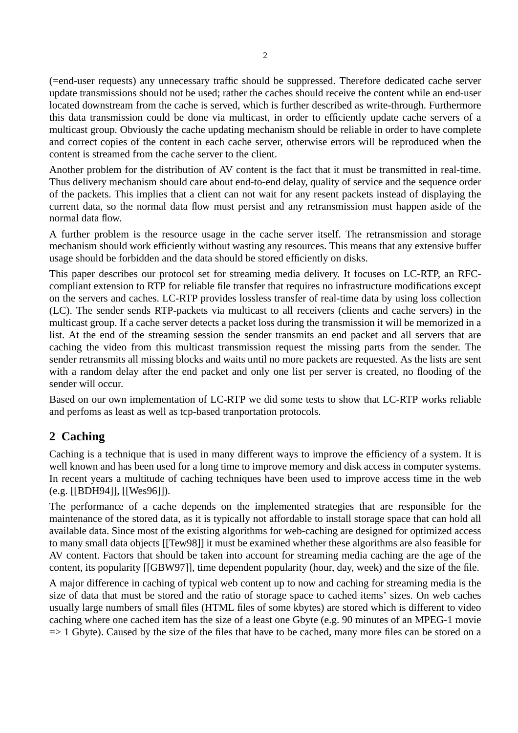(=end-user requests) any unnecessary traffic should be suppressed. Therefore dedicated cache server update transmissions should not be used; rather the caches should receive the content while an end-user located downstream from the cache is served, which is further described as write-through. Furthermore this data transmission could be done via multicast, in order to efficiently update cache servers of a multicast group. Obviously the cache updating mechanism should be reliable in order to have complete and correct copies of the content in each cache server, otherwise errors will be reproduced when the content is streamed from the cache server to the client.

Another problem for the distribution of AV content is the fact that it must be transmitted in real-time. Thus delivery mechanism should care about end-to-end delay, quality of service and the sequence order of the packets. This implies that a client can not wait for any resent packets instead of displaying the current data, so the normal data flow must persist and any retransmission must happen aside of the normal data flow.

A further problem is the resource usage in the cache server itself. The retransmission and storage mechanism should work efficiently without wasting any resources. This means that any extensive buffer usage should be forbidden and the data should be stored efficiently on disks.

This paper describes our protocol set for streaming media delivery. It focuses on LC-RTP, an RFCcompliant extension to RTP for reliable file transfer that requires no infrastructure modifications except on the servers and caches. LC-RTP provides lossless transfer of real-time data by using loss collection (LC). The sender sends RTP-packets via multicast to all receivers (clients and cache servers) in the multicast group. If a cache server detects a packet loss during the transmission it will be memorized in a list. At the end of the streaming session the sender transmits an end packet and all servers that are caching the video from this multicast transmission request the missing parts from the sender. The sender retransmits all missing blocks and waits until no more packets are requested. As the lists are sent with a random delay after the end packet and only one list per server is created, no flooding of the sender will occur.

Based on our own implementation of LC-RTP we did some tests to show that LC-RTP works reliable and perfoms as least as well as tcp-based tranportation protocols.

# **2 Caching**

Caching is a technique that is used in many different ways to improve the efficiency of a system. It is well known and has been used for a long time to improve memory and disk access in computer systems. In recent years a multitude of caching techniques have been used to improve access time in the web (e.g. [\[\[BDH94\]\], \[](#page-16-0)[\[Wes96\]\]\).](#page-17-0)

The performance of a cache depends on the implemented strategies that are responsible for the maintenance of the stored data, as it is typically not affordable to install storage space that can hold all available data. Since most of the existing algorithms for web-caching are designed for optimized access to many small data objects [\[\[Tew98\]\]](#page-17-0) it must be examined whether these algorithms are also feasible for AV content. Factors that should be taken into account for streaming media caching are the age of the content, its popularity [\[\[GBW97\]\],](#page-16-0) time dependent popularity (hour, day, week) and the size of the file.

A major difference in caching of typical web content up to now and caching for streaming media is the size of data that must be stored and the ratio of storage space to cached items' sizes. On web caches usually large numbers of small files (HTML files of some kbytes) are stored which is different to video caching where one cached item has the size of a least one Gbyte (e.g. 90 minutes of an MPEG-1 movie  $\Rightarrow$  1 Gbyte). Caused by the size of the files that have to be cached, many more files can be stored on a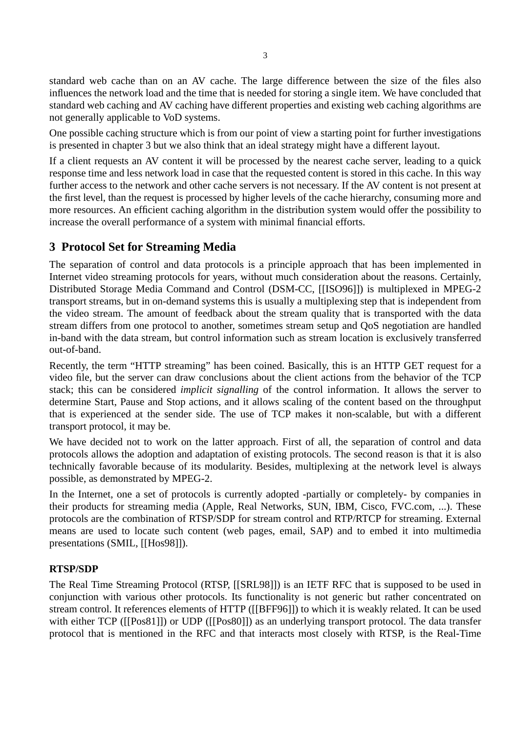standard web cache than on an AV cache. The large difference between the size of the files also influences the network load and the time that is needed for storing a single item. We have concluded that standard web caching and AV caching have different properties and existing web caching algorithms are not generally applicable to VoD systems.

One possible caching structure which is from our point of view a starting point for further investigations is presented in chapter 3 but we also think that an ideal strategy might have a different layout.

If a client requests an AV content it will be processed by the nearest cache server, leading to a quick response time and less network load in case that the requested content is stored in this cache. In this way further access to the network and other cache servers is not necessary. If the AV content is not present at the first level, than the request is processed by higher levels of the cache hierarchy, consuming more and more resources. An efficient caching algorithm in the distribution system would offer the possibility to increase the overall performance of a system with minimal financial efforts.

## **3 Protocol Set for Streaming Media**

The separation of control and data protocols is a principle approach that has been implemented in Internet video streaming protocols for years, without much consideration about the reasons. Certainly, Distributed Storage Media Command and Control (DSM-CC, [\[\[ISO96\]\]\)](#page-16-0) is multiplexed in MPEG-2 transport streams, but in on-demand systems this is usually a multiplexing step that is independent from the video stream. The amount of feedback about the stream quality that is transported with the data stream differs from one protocol to another, sometimes stream setup and QoS negotiation are handled in-band with the data stream, but control information such as stream location is exclusively transferred out-of-band.

Recently, the term "HTTP streaming" has been coined. Basically, this is an HTTP GET request for a video file, but the server can draw conclusions about the client actions from the behavior of the TCP stack; this can be considered *implicit signalling* of the control information. It allows the server to determine Start, Pause and Stop actions, and it allows scaling of the content based on the throughput that is experienced at the sender side. The use of TCP makes it non-scalable, but with a different transport protocol, it may be.

We have decided not to work on the latter approach. First of all, the separation of control and data protocols allows the adoption and adaptation of existing protocols. The second reason is that it is also technically favorable because of its modularity. Besides, multiplexing at the network level is always possible, as demonstrated by MPEG-2.

In the Internet, one a set of protocols is currently adopted -partially or completely- by companies in their products for streaming media (Apple, Real Networks, SUN, IBM, Cisco, FVC.com, ...). These protocols are the combination of RTSP/SDP for stream control and RTP/RTCP for streaming. External means are used to locate such content (web pages, email, SAP) and to embed it into multimedia presentations (SMIL, [[\[Hos98\]\]\).](#page-16-0)

#### **RTSP/SDP**

The Real Time Streaming Protocol (RTSP, [\[\[SRL98\]\]](#page-17-0)) is an IETF RFC that is supposed to be used in conjunction with various other protocols. Its functionality is not generic but rather concentrated on stream control. It references elements of HTTP [\(\[\[BFF96\]\]\)](#page-16-0) to which it is weakly related. It can be used with either TCP [\(\[\[Pos81\]\]\)](#page-17-0) or UDP ([\[\[Pos80\]\]\)](#page-17-0) as an underlying transport protocol. The data transfer protocol that is mentioned in the RFC and that interacts most closely with RTSP, is the Real-Time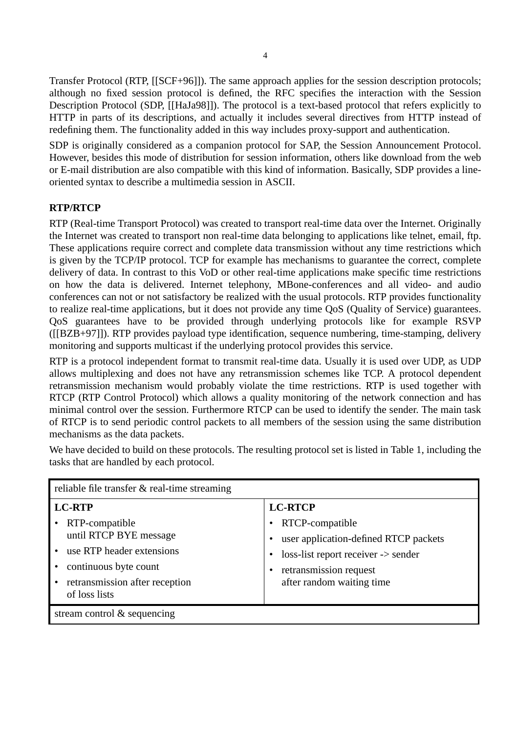Transfer Protocol (RTP, [\[\[SCF+96\]\]\)](#page-17-0). The same approach applies for the session description protocols; although no fixed session protocol is defined, the RFC specifies the interaction with the Session Description Protocol (SDP, [\[\[HaJa98\]\]\).](#page-16-0) The protocol is a text-based protocol that refers explicitly to HTTP in parts of its descriptions, and actually it includes several directives from HTTP instead of redefining them. The functionality added in this way includes proxy-support and authentication.

SDP is originally considered as a companion protocol for SAP, the Session Announcement Protocol. However, besides this mode of distribution for session information, others like download from the web or E-mail distribution are also compatible with this kind of information. Basically, SDP provides a lineoriented syntax to describe a multimedia session in ASCII.

#### **RTP/RTCP**

RTP (Real-time Transport Protocol) was created to transport real-time data over the Internet. Originally the Internet was created to transport non real-time data belonging to applications like telnet, email, ftp. These applications require correct and complete data transmission without any time restrictions which is given by the TCP/IP protocol. TCP for example has mechanisms to guarantee the correct, complete delivery of data. In contrast to this VoD or other real-time applications make specific time restrictions on how the data is delivered. Internet telephony, MBone-conferences and all video- and audio conferences can not or not satisfactory be realized with the usual protocols. RTP provides functionality to realize real-time applications, but it does not provide any time QoS (Quality of Service) guarantees. QoS guarantees have to be provided through underlying protocols like for example RSVP ([\[\[BZB+97\]\]\).](#page-16-0) RTP provides payload type identification, sequence numbering, time-stamping, delivery monitoring and supports multicast if the underlying protocol provides this service.

RTP is a protocol independent format to transmit real-time data. Usually it is used over UDP, as UDP allows multiplexing and does not have any retransmission schemes like TCP. A protocol dependent retransmission mechanism would probably violate the time restrictions. RTP is used together with RTCP (RTP Control Protocol) which allows a quality monitoring of the network connection and has minimal control over the session. Furthermore RTCP can be used to identify the sender. The main task of RTCP is to send periodic control packets to all members of the session using the same distribution mechanisms as the data packets.

We have decided to build on these protocols. The resulting protocol set is listed in Table 1, including the tasks that are handled by each protocol.

| reliable file transfer $\&$ real-time streaming                                                                                                                        |                                                                                                                                                                          |
|------------------------------------------------------------------------------------------------------------------------------------------------------------------------|--------------------------------------------------------------------------------------------------------------------------------------------------------------------------|
| <b>LC-RTP</b><br>• RTP-compatible<br>until RTCP BYE message<br>• use RTP header extensions<br>continuous byte count<br>retransmission after reception<br>of loss lists | <b>LC-RTCP</b><br>RTCP-compatible<br>user application-defined RTCP packets<br>loss-list report receiver -> sender<br>retransmission request<br>after random waiting time |
| stream control $\&$ sequencing                                                                                                                                         |                                                                                                                                                                          |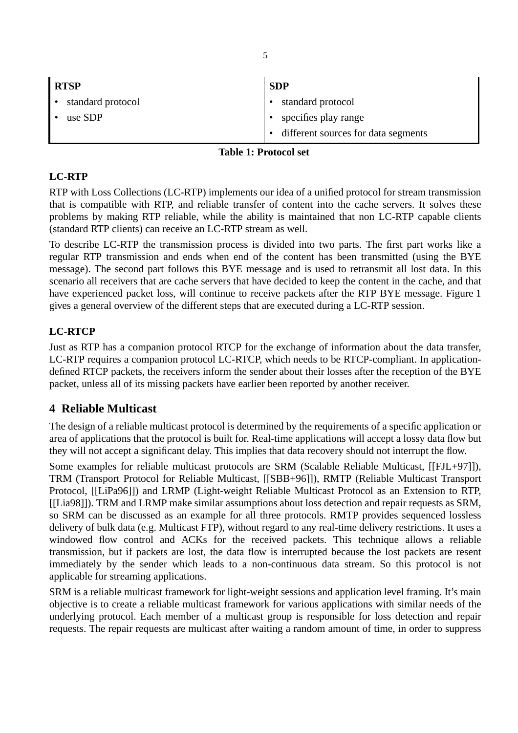| <b>RTSP</b>       | <b>SDP</b>                          |
|-------------------|-------------------------------------|
| standard protocol | standard protocol                   |
| use SDP           | specifies play range                |
|                   | different sources for data segments |

#### **Table 1: Protocol set**

#### **LC-RTP**

RTP with Loss Collections (LC-RTP) implements our idea of a unified protocol for stream transmission that is compatible with RTP, and reliable transfer of content into the cache servers. It solves these problems by making RTP reliable, while the ability is maintained that non LC-RTP capable clients (standard RTP clients) can receive an LC-RTP stream as well.

To describe LC-RTP the transmission process is divided into two parts. The first part works like a regular RTP transmission and ends when end of the content has been transmitted (using the BYE message). The second part follows this BYE message and is used to retransmit all lost data. In this scenario all receivers that are cache servers that have decided to keep the content in the cache, and that have experienced packet loss, will continue to receive packets after the RTP BYE message. [Figure 1](#page-7-0) gives a general overview of the different steps that are executed during a LC-RTP session.

#### **LC-RTCP**

Just as RTP has a companion protocol RTCP for the exchange of information about the data transfer, LC-RTP requires a companion protocol LC-RTCP, which needs to be RTCP-compliant. In applicationdefined RTCP packets, the receivers inform the sender about their losses after the reception of the BYE packet, unless all of its missing packets have earlier been reported by another receiver.

## **4 Reliable Multicast**

The design of a reliable multicast protocol is determined by the requirements of a specific application or area of applications that the protocol is built for. Real-time applications will accept a lossy data flow but they will not accept a significant delay. This implies that data recovery should not interrupt the flow.

Some examples for reliable multicast protocols are SRM (Scalable Reliable Multicast[, \[\[FJL+97\]\]](#page-16-0)), TRM (Transport Protocol for Reliable Multicast, [\[\[SBB+96\]\]\)](#page-17-0), RMTP (Reliable Multicast Transport Protocol, [\[\[LiPa96\]\]\)](#page-17-0) and LRMP (Light-weight Reliable Multicast Protocol as an Extension to RTP, [\[\[Lia98\]\]\)](#page-16-0). TRM and LRMP make similar assumptions about loss detection and repair requests as SRM, so SRM can be discussed as an example for all three protocols. RMTP provides sequenced lossless delivery of bulk data (e.g. Multicast FTP), without regard to any real-time delivery restrictions. It uses a windowed flow control and ACKs for the received packets. This technique allows a reliable transmission, but if packets are lost, the data flow is interrupted because the lost packets are resent immediately by the sender which leads to a non-continuous data stream. So this protocol is not applicable for streaming applications.

SRM is a reliable multicast framework for light-weight sessions and application level framing. It's main objective is to create a reliable multicast framework for various applications with similar needs of the underlying protocol. Each member of a multicast group is responsible for loss detection and repair requests. The repair requests are multicast after waiting a random amount of time, in order to suppress

5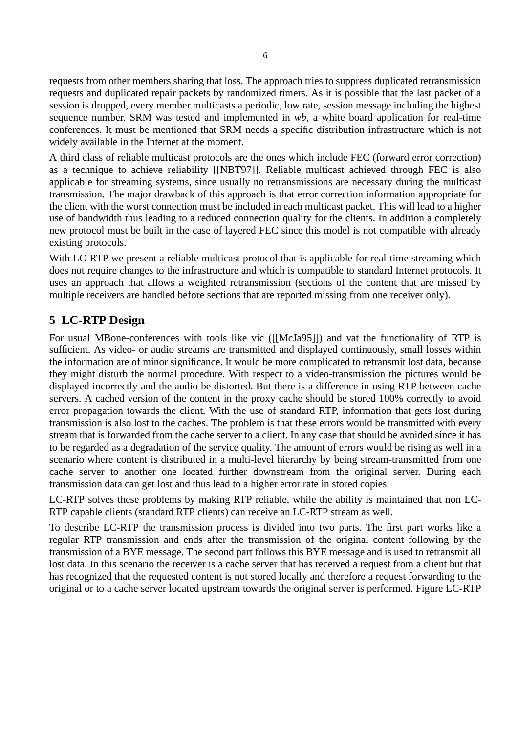<span id="page-6-0"></span>requests from other members sharing that loss. The approach tries to suppress duplicated retransmission requests and duplicated repair packets by randomized timers. As it is possible that the last packet of a session is dropped, every member multicasts a periodic, low rate, session message including the highest sequence number. SRM was tested and implemented in *wb*, a white board application for real-time conferences. It must be mentioned that SRM needs a specific distribution infrastructure which is not widely available in the Internet at the moment.

A third class of reliable multicast protocols are the ones which include FEC (forward error correction) as a technique to achieve reliability [\[\[NBT97\]\].](#page-17-0) Reliable multicast achieved through FEC is also applicable for streaming systems, since usually no retransmissions are necessary during the multicast transmission. The major drawback of this approach is that error correction information appropriate for the client with the worst connection must be included in each multicast packet. This will lead to a higher use of bandwidth thus leading to a reduced connection quality for the clients. In addition a completely new protocol must be built in the case of layered FEC since this model is not compatible with already existing protocols.

With LC-RTP we present a reliable multicast protocol that is applicable for real-time streaming which does not require changes to the infrastructure and which is compatible to standard Internet protocols. It uses an approach that allows a weighted retransmission (sections of the content that are missed by multiple receivers are handled before sections that are reported missing from one receiver only).

# **5 LC-RTP Design**

For usual MBone-conferences with tools like vic ([\[\[McJa95\]\]\)](#page-17-0) and vat the functionality of RTP is sufficient. As video- or audio streams are transmitted and displayed continuously, small losses within the information are of minor significance. It would be more complicated to retransmit lost data, because they might disturb the normal procedure. With respect to a video-transmission the pictures would be displayed incorrectly and the audio be distorted. But there is a difference in using RTP between cache servers. A cached version of the content in the proxy cache should be stored 100% correctly to avoid error propagation towards the client. With the use of standard RTP, information that gets lost during transmission is also lost to the caches. The problem is that these errors would be transmitted with every stream that is forwarded from the cache server to a client. In any case that should be avoided since it has to be regarded as a degradation of the service quality. The amount of errors would be rising as well in a scenario where content is distributed in a multi-level hierarchy by being stream-transmitted from one cache server to another one located further downstream from the original server. During each transmission data can get lost and thus lead to a higher error rate in stored copies.

LC-RTP solves these problems by making RTP reliable, while the ability is maintained that non LC-RTP capable clients (standard RTP clients) can receive an LC-RTP stream as well.

To describe LC-RTP the transmission process is divided into two parts. The first part works like a regular RTP transmission and ends after the transmission of the original content following by the transmission of a BYE message. The second part follows this BYE message and is used to retransmit all lost data. In this scenario the receiver is a cache server that has received a request from a client but that has recognized that the requested content is not stored locally and therefore a request forwarding to the original or to a cache server located upstream towards the original server is performed. Figure LC-RTP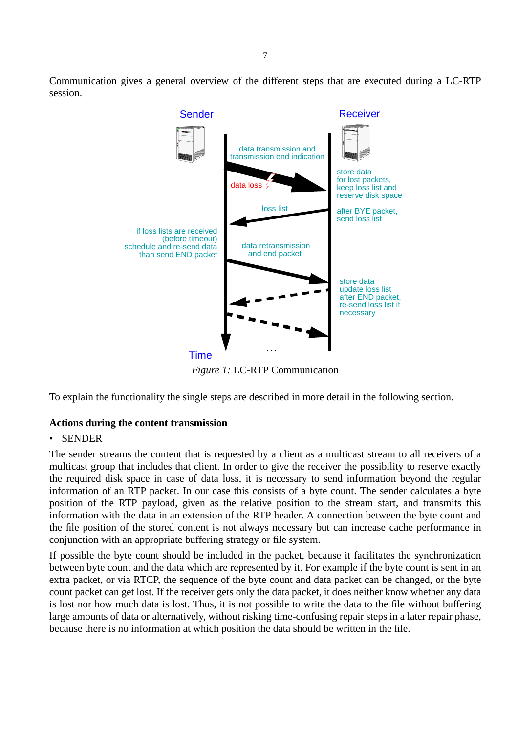<span id="page-7-0"></span>Communication gives a general overview of the different steps that are executed during a LC-RTP session.



*Figure 1:* LC-RTP Communication

To explain the functionality the single steps are described in more detail in the following section.

#### **Actions during the content transmission**

#### • SENDER

The sender streams the content that is requested by a client as a multicast stream to all receivers of a multicast group that includes that client. In order to give the receiver the possibility to reserve exactly the required disk space in case of data loss, it is necessary to send information beyond the regular information of an RTP packet. In our case this consists of a byte count. The sender calculates a byte position of the RTP payload, given as the relative position to the stream start, and transmits this information with the data in an extension of the RTP header. A connection between the byte count and the file position of the stored content is not always necessary but can increase cache performance in conjunction with an appropriate buffering strategy or file system.

If possible the byte count should be included in the packet, because it facilitates the synchronization between byte count and the data which are represented by it. For example if the byte count is sent in an extra packet, or via RTCP, the sequence of the byte count and data packet can be changed, or the byte count packet can get lost. If the receiver gets only the data packet, it does neither know whether any data is lost nor how much data is lost. Thus, it is not possible to write the data to the file without buffering large amounts of data or alternatively, without risking time-confusing repair steps in a later repair phase, because there is no information at which position the data should be written in the file.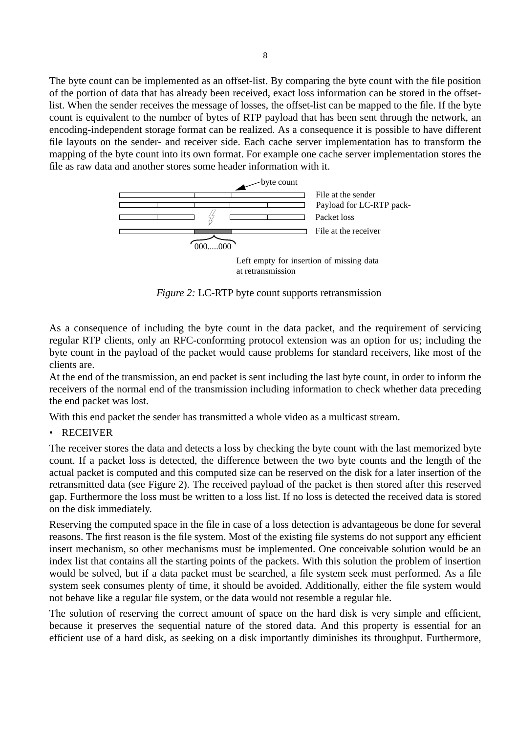The byte count can be implemented as an offset-list. By comparing the byte count with the file position of the portion of data that has already been received, exact loss information can be stored in the offsetlist. When the sender receives the message of losses, the offset-list can be mapped to the file. If the byte count is equivalent to the number of bytes of RTP payload that has been sent through the network, an encoding-independent storage format can be realized. As a consequence it is possible to have different file layouts on the sender- and receiver side. Each cache server implementation has to transform the mapping of the byte count into its own format. For example one cache server implementation stores the file as raw data and another stores some header information with it.



*Figure 2:* LC-RTP byte count supports retransmission

As a consequence of including the byte count in the data packet, and the requirement of servicing regular RTP clients, only an RFC-conforming protocol extension was an option for us; including the byte count in the payload of the packet would cause problems for standard receivers, like most of the clients are.

At the end of the transmission, an end packet is sent including the last byte count, in order to inform the receivers of the normal end of the transmission including information to check whether data preceding the end packet was lost.

With this end packet the sender has transmitted a whole video as a multicast stream.

• RECEIVER

The receiver stores the data and detects a loss by checking the byte count with the last memorized byte count. If a packet loss is detected, the difference between the two byte counts and the length of the actual packet is computed and this computed size can be reserved on the disk for a later insertion of the retransmitted data (see Figure 2). The received payload of the packet is then stored after this reserved gap. Furthermore the loss must be written to a loss list. If no loss is detected the received data is stored on the disk immediately.

Reserving the computed space in the file in case of a loss detection is advantageous be done for several reasons. The first reason is the file system. Most of the existing file systems do not support any efficient insert mechanism, so other mechanisms must be implemented. One conceivable solution would be an index list that contains all the starting points of the packets. With this solution the problem of insertion would be solved, but if a data packet must be searched, a file system seek must performed. As a file system seek consumes plenty of time, it should be avoided. Additionally, either the file system would not behave like a regular file system, or the data would not resemble a regular file.

The solution of reserving the correct amount of space on the hard disk is very simple and efficient, because it preserves the sequential nature of the stored data. And this property is essential for an efficient use of a hard disk, as seeking on a disk importantly diminishes its throughput. Furthermore,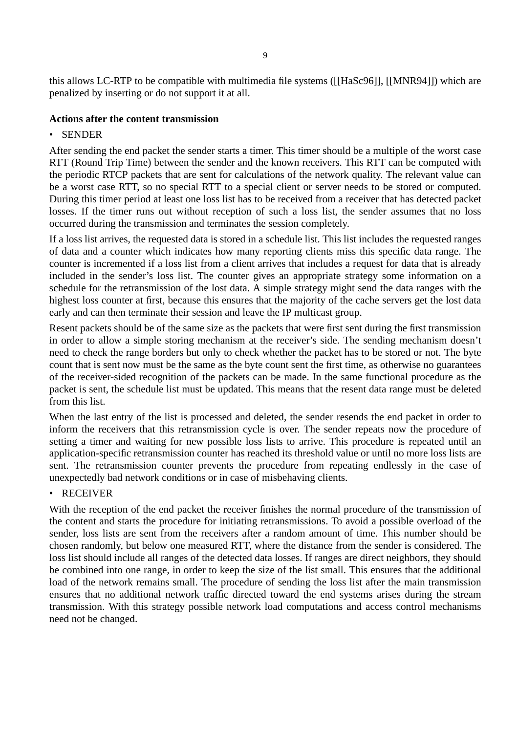this allows LC-RTP to be compatible with multimedia file systems [\(\[\[HaSc96\]\]](#page-16-0), [\[\[MNR94\]\]\)](#page-17-0) which are penalized by inserting or do not support it at all.

#### **Actions after the content transmission**

#### • SENDER

After sending the end packet the sender starts a timer. This timer should be a multiple of the worst case RTT (Round Trip Time) between the sender and the known receivers. This RTT can be computed with the periodic RTCP packets that are sent for calculations of the network quality. The relevant value can be a worst case RTT, so no special RTT to a special client or server needs to be stored or computed. During this timer period at least one loss list has to be received from a receiver that has detected packet losses. If the timer runs out without reception of such a loss list, the sender assumes that no loss occurred during the transmission and terminates the session completely.

If a loss list arrives, the requested data is stored in a schedule list. This list includes the requested ranges of data and a counter which indicates how many reporting clients miss this specific data range. The counter is incremented if a loss list from a client arrives that includes a request for data that is already included in the sender's loss list. The counter gives an appropriate strategy some information on a schedule for the retransmission of the lost data. A simple strategy might send the data ranges with the highest loss counter at first, because this ensures that the majority of the cache servers get the lost data early and can then terminate their session and leave the IP multicast group.

Resent packets should be of the same size as the packets that were first sent during the first transmission in order to allow a simple storing mechanism at the receiver's side. The sending mechanism doesn't need to check the range borders but only to check whether the packet has to be stored or not. The byte count that is sent now must be the same as the byte count sent the first time, as otherwise no guarantees of the receiver-sided recognition of the packets can be made. In the same functional procedure as the packet is sent, the schedule list must be updated. This means that the resent data range must be deleted from this list.

When the last entry of the list is processed and deleted, the sender resends the end packet in order to inform the receivers that this retransmission cycle is over. The sender repeats now the procedure of setting a timer and waiting for new possible loss lists to arrive. This procedure is repeated until an application-specific retransmission counter has reached its threshold value or until no more loss lists are sent. The retransmission counter prevents the procedure from repeating endlessly in the case of unexpectedly bad network conditions or in case of misbehaving clients.

#### • RECEIVER

With the reception of the end packet the receiver finishes the normal procedure of the transmission of the content and starts the procedure for initiating retransmissions. To avoid a possible overload of the sender, loss lists are sent from the receivers after a random amount of time. This number should be chosen randomly, but below one measured RTT, where the distance from the sender is considered. The loss list should include all ranges of the detected data losses. If ranges are direct neighbors, they should be combined into one range, in order to keep the size of the list small. This ensures that the additional load of the network remains small. The procedure of sending the loss list after the main transmission ensures that no additional network traffic directed toward the end systems arises during the stream transmission. With this strategy possible network load computations and access control mechanisms need not be changed.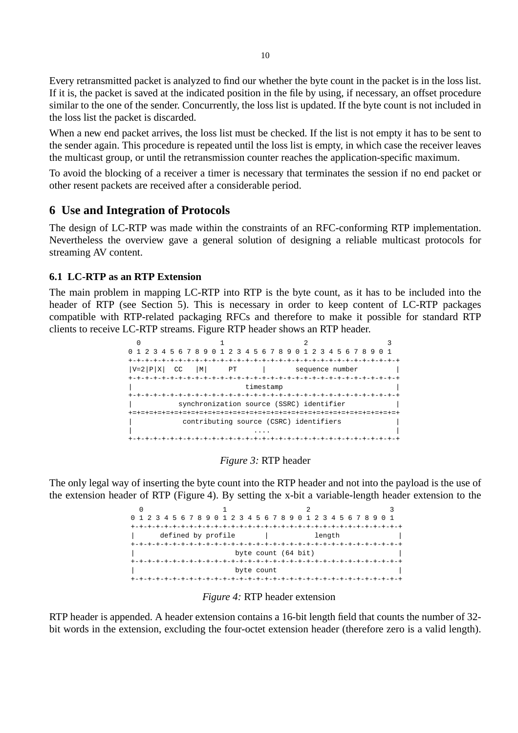Every retransmitted packet is analyzed to find our whether the byte count in the packet is in the loss list. If it is, the packet is saved at the indicated position in the file by using, if necessary, an offset procedure similar to the one of the sender. Concurrently, the loss list is updated. If the byte count is not included in the loss list the packet is discarded.

When a new end packet arrives, the loss list must be checked. If the list is not empty it has to be sent to the sender again. This procedure is repeated until the loss list is empty, in which case the receiver leaves the multicast group, or until the retransmission counter reaches the application-specific maximum.

To avoid the blocking of a receiver a timer is necessary that terminates the session if no end packet or other resent packets are received after a considerable period.

#### **6 Use and Integration of Protocols**

The design of LC-RTP was made within the constraints of an RFC-conforming RTP implementation. Nevertheless the overview gave a general solution of designing a reliable multicast protocols for streaming AV content.

#### **6.1 LC-RTP as an RTP Extension**

The main problem in mapping LC-RTP into RTP is the byte count, as it has to be included into the header of RTP (see [Section 5](#page-6-0)). This is necessary in order to keep content of LC-RTP packages compatible with RTP-related packaging RFCs and therefore to make it possible for standard RTP clients to receive LC-RTP streams. Figure RTP header shows an RTP header.



#### *Figure 3:* RTP header

The only legal way of inserting the byte count into the RTP header and not into the payload is the use of the extension header of RTP (Figure 4). By setting the x-bit a variable-length header extension to the

> 0  $1$   $2$   $3$ 0 1 2 3 4 5 6 7 8 9 0 1 2 3 4 5 6 7 8 9 0 1 2 3 4 5 6 7 8 9 0 1 +-+-+-+-+-+-+-+-+-+-+-+-+-+-+-+-+-+-+-+-+-+-+-+-+-+-+-+-+-+-+-+-+ | defined by profile | length +-+-+-+-+-+-+-+-+-+-+-+-+-+-+-+-+-+-+-+-+-+-+-+-+-+-+-+-+-+-+-+-+ byte count (64 bit) +-+-+-+-+-+-+-+-+-+-+-+-+-+-+-+-+-+-+-+-+-+-+-+-+-+-+-+-+-+-+-+-+ | byte count | +-+-+-+-+-+-+-+-+-+-+-+-+-+-+-+-+-+-+-+-+-+-+-+-+-+-+-+-+-+-+-+-+

*Figure 4:* RTP header extension

RTP header is appended. A header extension contains a 16-bit length field that counts the number of 32 bit words in the extension, excluding the four-octet extension header (therefore zero is a valid length).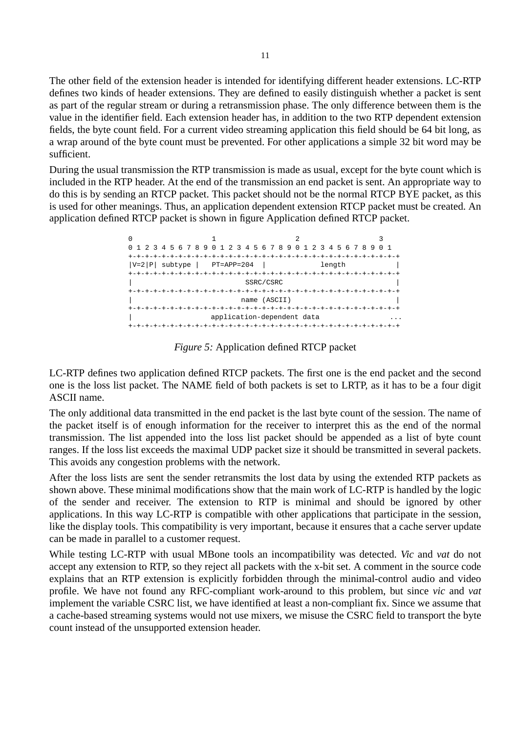The other field of the extension header is intended for identifying different header extensions. LC-RTP defines two kinds of header extensions. They are defined to easily distinguish whether a packet is sent as part of the regular stream or during a retransmission phase. The only difference between them is the value in the identifier field. Each extension header has, in addition to the two RTP dependent extension fields, the byte count field. For a current video streaming application this field should be 64 bit long, as a wrap around of the byte count must be prevented. For other applications a simple 32 bit word may be sufficient.

During the usual transmission the RTP transmission is made as usual, except for the byte count which is included in the RTP header. At the end of the transmission an end packet is sent. An appropriate way to do this is by sending an RTCP packet. This packet should not be the normal RTCP BYE packet, as this is used for other meanings. Thus, an application dependent extension RTCP packet must be created. An application defined RTCP packet is shown in figure Application defined RTCP packet.

|                                | 1 2 3 4 5 6 7 8 9 0 1 2 3 4 5 6 7 8 9 0 1 2 3 4 5 6 7 8 9 |        | 0 1 |
|--------------------------------|-----------------------------------------------------------|--------|-----|
|                                |                                                           |        |     |
| $ V=2 P $ subtype   PT=APP=204 |                                                           | length |     |
|                                |                                                           |        |     |
|                                | SSRC/CSRC                                                 |        |     |
|                                |                                                           |        |     |
|                                | name (ASCII)                                              |        |     |
|                                |                                                           |        |     |
|                                | application-dependent data                                |        |     |
|                                | -+-+-+-+-+-+-+-+-+-+-+-+-+-+-+-+-+                        |        |     |

*Figure 5:* Application defined RTCP packet

LC-RTP defines two application defined RTCP packets. The first one is the end packet and the second one is the loss list packet. The NAME field of both packets is set to LRTP, as it has to be a four digit ASCII name.

The only additional data transmitted in the end packet is the last byte count of the session. The name of the packet itself is of enough information for the receiver to interpret this as the end of the normal transmission. The list appended into the loss list packet should be appended as a list of byte count ranges. If the loss list exceeds the maximal UDP packet size it should be transmitted in several packets. This avoids any congestion problems with the network.

After the loss lists are sent the sender retransmits the lost data by using the extended RTP packets as shown above. These minimal modifications show that the main work of LC-RTP is handled by the logic of the sender and receiver. The extension to RTP is minimal and should be ignored by other applications. In this way LC-RTP is compatible with other applications that participate in the session, like the display tools. This compatibility is very important, because it ensures that a cache server update can be made in parallel to a customer request.

While testing LC-RTP with usual MBone tools an incompatibility was detected. *Vic* and *vat* do not accept any extension to RTP, so they reject all packets with the x-bit set. A comment in the source code explains that an RTP extension is explicitly forbidden through the minimal-control audio and video profile. We have not found any RFC-compliant work-around to this problem, but since *vic* and *vat* implement the variable CSRC list, we have identified at least a non-compliant fix. Since we assume that a cache-based streaming systems would not use mixers, we misuse the CSRC field to transport the byte count instead of the unsupported extension header.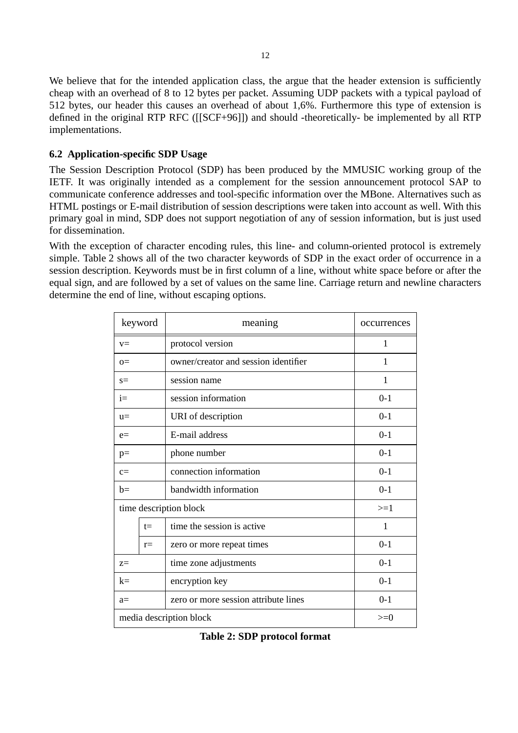<span id="page-12-0"></span>We believe that for the intended application class, the argue that the header extension is sufficiently cheap with an overhead of 8 to 12 bytes per packet. Assuming UDP packets with a typical payload of 512 bytes, our header this causes an overhead of about 1,6%. Furthermore this type of extension is defined in the original RTP RFC [\(\[\[SCF+96\]\]\)](#page-17-0) and should -theoretically- be implemented by all RTP implementations.

#### **6.2 Application-specific SDP Usage**

The Session Description Protocol (SDP) has been produced by the MMUSIC working group of the IETF. It was originally intended as a complement for the session announcement protocol SAP to communicate conference addresses and tool-specific information over the MBone. Alternatives such as HTML postings or E-mail distribution of session descriptions were taken into account as well. With this primary goal in mind, SDP does not support negotiation of any of session information, but is just used for dissemination.

With the exception of character encoding rules, this line- and column-oriented protocol is extremely simple. Table 2 shows all of the two character keywords of SDP in the exact order of occurrence in a session description. Keywords must be in first column of a line, without white space before or after the equal sign, and are followed by a set of values on the same line. Carriage return and newline characters determine the end of line, without escaping options.

|                        | keyword                          | meaning                              | occurrences |
|------------------------|----------------------------------|--------------------------------------|-------------|
| $V =$                  |                                  | protocol version                     | 1           |
| $\Omega$ =             |                                  | owner/creator and session identifier | 1           |
| $s=$                   |                                  | session name                         | 1           |
| $i=$                   |                                  | session information                  | $0-1$       |
| $u=$                   |                                  | URI of description                   | $0-1$       |
| $e=$                   |                                  | E-mail address                       | $0-1$       |
| $p=$                   |                                  | phone number                         | $0 - 1$     |
| $c=$                   |                                  | connection information               | $0-1$       |
| $b=$                   |                                  | bandwidth information                | $0-1$       |
| time description block |                                  | $>=1$                                |             |
|                        | $t =$                            | time the session is active           | 1           |
|                        | $r =$                            | zero or more repeat times            | $0-1$       |
| $Z =$                  |                                  | time zone adjustments                | $0-1$       |
| $k=$                   |                                  | encryption key                       | $0-1$       |
| $a=$                   |                                  | zero or more session attribute lines | $0-1$       |
|                        | media description block<br>$>=0$ |                                      |             |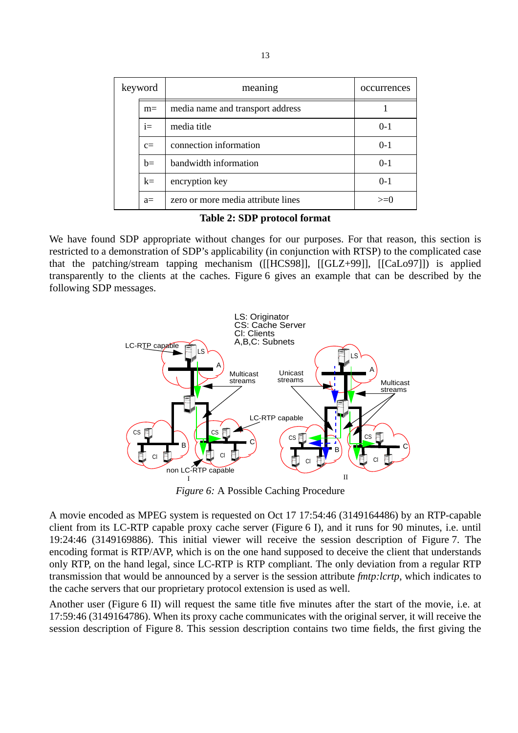| keyword |      | meaning                            | occurrences |
|---------|------|------------------------------------|-------------|
|         | $m=$ | media name and transport address   |             |
|         | $i=$ | media title                        | $0-1$       |
|         | $c=$ | connection information             | $0-1$       |
|         | $b=$ | bandwidth information              | $0 - 1$     |
|         | $k=$ | encryption key                     | $0-1$       |
|         | $a=$ | zero or more media attribute lines | $>=0$       |

**Table 2: SDP protocol format**

We have found SDP appropriate without changes for our purposes. For that reason, this section is restricted to a demonstration of SDP's applicability (in conjunction with RTSP) to the complicated case that the patching/stream tapping mechanism [\(\[\[HCS98\]\]](#page-16-0), [\[\[GLZ+99\]\], \[\[CaLo97\]\]\)](#page-16-0) is applied transparently to the clients at the caches. Figure 6 gives an example that can be described by the following SDP messages.



*Figure 6:* A Possible Caching Procedure

A movie encoded as MPEG system is requested on Oct 17 17:54:46 (3149164486) by an RTP-capable client from its LC-RTP capable proxy cache server (Figure 6 I), and it runs for 90 minutes, i.e. until 19:24:46 (3149169886). This initial viewer will receive the session description of [Figure 7.](#page-14-0) The encoding format is RTP/AVP, which is on the one hand supposed to deceive the client that understands only RTP, on the hand legal, since LC-RTP is RTP compliant. The only deviation from a regular RTP transmission that would be announced by a server is the session attribute *fmtp:lcrtp*, which indicates to the cache servers that our proprietary protocol extension is used as well.

Another user (Figure 6 II) will request the same title five minutes after the start of the movie, i.e. at 17:59:46 (3149164786). When its proxy cache communicates with the original server, it will receive the session description of [Figure 8.](#page-14-0) This session description contains two time fields, the first giving the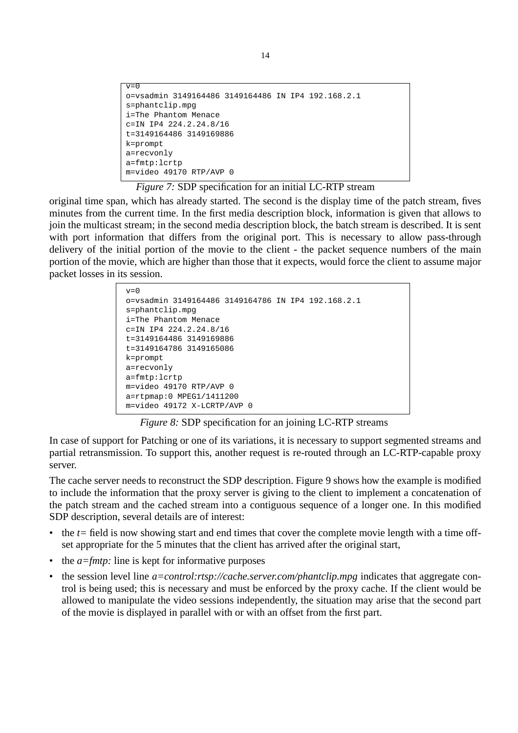```
v=0o=vsadmin 3149164486 3149164486 IN IP4 192.168.2.1
s=phantclip.mpg
i=The Phantom Menace
c=IN IP4 224.2.24.8/16
t=3149164486 3149169886
k=prompt
a=recvonly
a=fmtp:lcrtp
m=video 49170 RTP/AVP 0
```
*Figure 7:* SDP specification for an initial LC-RTP stream

original time span, which has already started. The second is the display time of the patch stream, fives minutes from the current time. In the first media description block, information is given that allows to join the multicast stream; in the second media description block, the batch stream is described. It is sent with port information that differs from the original port. This is necessary to allow pass-through delivery of the initial portion of the movie to the client - the packet sequence numbers of the main portion of the movie, which are higher than those that it expects, would force the client to assume major packet losses in its session.

```
v=0o=vsadmin 3149164486 3149164786 IN IP4 192.168.2.1
s=phantclip.mpg
i=The Phantom Menace
c=IN IP4 224.2.24.8/16
t=3149164486 3149169886
t=3149164786 3149165086
k=prompt
a=recvonly
a=fmtp:lcrtp
m=video 49170 RTP/AVP 0
a=rtpmap:0 MPEG1/1411200
m=video 49172 X-LCRTP/AVP 0
```
*Figure 8:* SDP specification for an joining LC-RTP streams

In case of support for Patching or one of its variations, it is necessary to support segmented streams and partial retransmission. To support this, another request is re-routed through an LC-RTP-capable proxy server.

The cache server needs to reconstruct the SDP description. [Figure 9](#page-15-0) shows how the example is modified to include the information that the proxy server is giving to the client to implement a concatenation of the patch stream and the cached stream into a contiguous sequence of a longer one. In this modified SDP description, several details are of interest:

- the  $t=$  field is now showing start and end times that cover the complete movie length with a time offset appropriate for the 5 minutes that the client has arrived after the original start,
- the *a=fmtp*: line is kept for informative purposes
- the session level line *a=control:rtsp://cache.server.com/phantclip.mpg* indicates that aggregate control is being used; this is necessary and must be enforced by the proxy cache. If the client would be allowed to manipulate the video sessions independently, the situation may arise that the second part of the movie is displayed in parallel with or with an offset from the first part.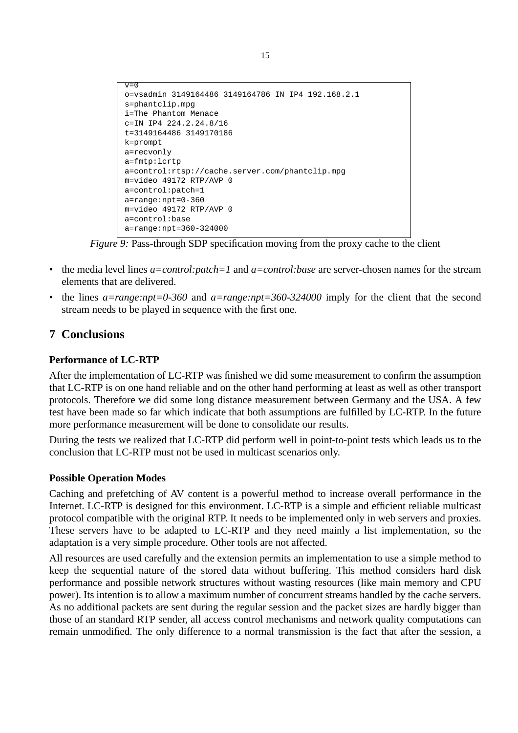```
v=0o=vsadmin 3149164486 3149164786 IN IP4 192.168.2.1
s=phantclip.mpg
i=The Phantom Menace
c=IN IP4 224.2.24.8/16
t=3149164486 3149170186
k=prompt
a=recvonly
a=fmtp:lcrtp
a=control:rtsp://cache.server.com/phantclip.mpg
m=video 49172 RTP/AVP 0
a=control:patch=1
a=range:npt=0-360
m=video 49172 RTP/AVP 0
a=control:base
a=range:npt=360-324000
```
*Figure 9:* Pass-through SDP specification moving from the proxy cache to the client

- the media level lines *a=control:patch=1* and *a=control:base* are server-chosen names for the stream elements that are delivered.
- the lines *a=range:npt=0-360* and *a=range:npt=360-324000* imply for the client that the second stream needs to be played in sequence with the first one.

# **7 Conclusions**

#### **Performance of LC-RTP**

After the implementation of LC-RTP was finished we did some measurement to confirm the assumption that LC-RTP is on one hand reliable and on the other hand performing at least as well as other transport protocols. Therefore we did some long distance measurement between Germany and the USA. A few test have been made so far which indicate that both assumptions are fulfilled by LC-RTP. In the future more performance measurement will be done to consolidate our results.

During the tests we realized that LC-RTP did perform well in point-to-point tests which leads us to the conclusion that LC-RTP must not be used in multicast scenarios only.

#### **Possible Operation Modes**

Caching and prefetching of AV content is a powerful method to increase overall performance in the Internet. LC-RTP is designed for this environment. LC-RTP is a simple and efficient reliable multicast protocol compatible with the original RTP. It needs to be implemented only in web servers and proxies. These servers have to be adapted to LC-RTP and they need mainly a list implementation, so the adaptation is a very simple procedure. Other tools are not affected.

All resources are used carefully and the extension permits an implementation to use a simple method to keep the sequential nature of the stored data without buffering. This method considers hard disk performance and possible network structures without wasting resources (like main memory and CPU power). Its intention is to allow a maximum number of concurrent streams handled by the cache servers. As no additional packets are sent during the regular session and the packet sizes are hardly bigger than those of an standard RTP sender, all access control mechanisms and network quality computations can remain unmodified. The only difference to a normal transmission is the fact that after the session, a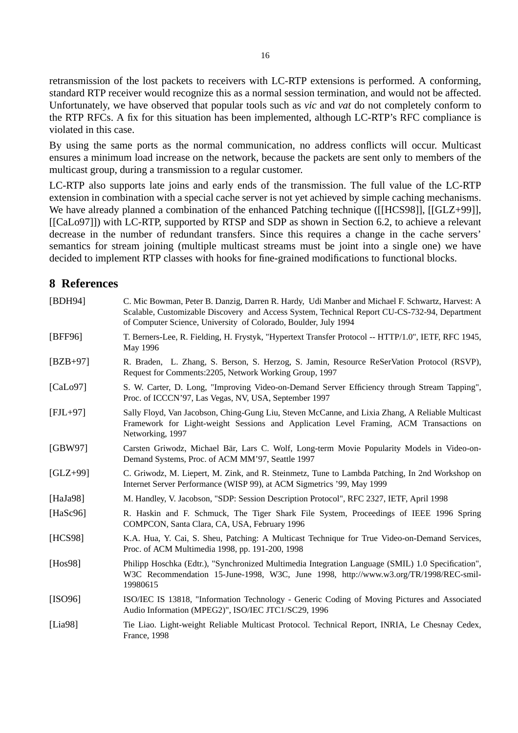<span id="page-16-0"></span>retransmission of the lost packets to receivers with LC-RTP extensions is performed. A conforming, standard RTP receiver would recognize this as a normal session termination, and would not be affected. Unfortunately, we have observed that popular tools such as *vic* and *vat* do not completely conform to the RTP RFCs. A fix for this situation has been implemented, although LC-RTP's RFC compliance is violated in this case.

By using the same ports as the normal communication, no address conflicts will occur. Multicast ensures a minimum load increase on the network, because the packets are sent only to members of the multicast group, during a transmission to a regular customer.

LC-RTP also supports late joins and early ends of the transmission. The full value of the LC-RTP extension in combination with a special cache server is not yet achieved by simple caching mechanisms. We have already planned a combination of the enhanced Patching technique ([[HCS98]], [[GLZ+99]], [[CaLo97]]) with LC-RTP, supported by RTSP and SDP as shown in [Section 6.2,](#page-12-0) to achieve a relevant decrease in the number of redundant transfers. Since this requires a change in the cache servers' semantics for stream joining (multiple multicast streams must be joint into a single one) we have decided to implement RTP classes with hooks for fine-grained modifications to functional blocks.

#### **8 References**

| [BDH94]      | C. Mic Bowman, Peter B. Danzig, Darren R. Hardy, Udi Manber and Michael F. Schwartz, Harvest: A<br>Scalable, Customizable Discovery and Access System, Technical Report CU-CS-732-94, Department<br>of Computer Science, University of Colorado, Boulder, July 1994 |
|--------------|---------------------------------------------------------------------------------------------------------------------------------------------------------------------------------------------------------------------------------------------------------------------|
| [BFF96]      | T. Berners-Lee, R. Fielding, H. Frystyk, "Hypertext Transfer Protocol -- HTTP/1.0", IETF, RFC 1945,<br>May 1996                                                                                                                                                     |
| $[ BZB+97]$  | R. Braden, L. Zhang, S. Berson, S. Herzog, S. Jamin, Resource ReSerVation Protocol (RSVP),<br>Request for Comments: 2205, Network Working Group, 1997                                                                                                               |
| [Calo97]     | S. W. Carter, D. Long, "Improving Video-on-Demand Server Efficiency through Stream Tapping",<br>Proc. of ICCCN'97, Las Vegas, NV, USA, September 1997                                                                                                               |
| $[FIL+97]$   | Sally Floyd, Van Jacobson, Ching-Gung Liu, Steven McCanne, and Lixia Zhang, A Reliable Multicast<br>Framework for Light-weight Sessions and Application Level Framing, ACM Transactions on<br>Networking, 1997                                                      |
| [GBW97]      | Carsten Griwodz, Michael Bär, Lars C. Wolf, Long-term Movie Popularity Models in Video-on-<br>Demand Systems, Proc. of ACM MM'97, Seattle 1997                                                                                                                      |
| $[GLZ+99]$   | C. Griwodz, M. Liepert, M. Zink, and R. Steinmetz, Tune to Lambda Patching, In 2nd Workshop on<br>Internet Server Performance (WISP 99), at ACM Sigmetrics '99, May 1999                                                                                            |
| [HaJa $98$ ] | M. Handley, V. Jacobson, "SDP: Session Description Protocol", RFC 2327, IETF, April 1998                                                                                                                                                                            |
| [ $Hasc96$ ] | R. Haskin and F. Schmuck, The Tiger Shark File System, Proceedings of IEEE 1996 Spring<br>COMPCON, Santa Clara, CA, USA, February 1996                                                                                                                              |
| [HCS98]      | K.A. Hua, Y. Cai, S. Sheu, Patching: A Multicast Technique for True Video-on-Demand Services,<br>Proc. of ACM Multimedia 1998, pp. 191-200, 1998                                                                                                                    |
| [Hos98]      | Philipp Hoschka (Edtr.), "Synchronized Multimedia Integration Language (SMIL) 1.0 Specification",<br>W3C Recommendation 15-June-1998, W3C, June 1998, http://www.w3.org/TR/1998/REC-smil-<br>19980615                                                               |
| [ISO96]      | ISO/IEC IS 13818, "Information Technology - Generic Coding of Moving Pictures and Associated<br>Audio Information (MPEG2)", ISO/IEC JTC1/SC29, 1996                                                                                                                 |
| [Lia $98$ ]  | Tie Liao. Light-weight Reliable Multicast Protocol. Technical Report, INRIA, Le Chesnay Cedex,<br>France, 1998                                                                                                                                                      |